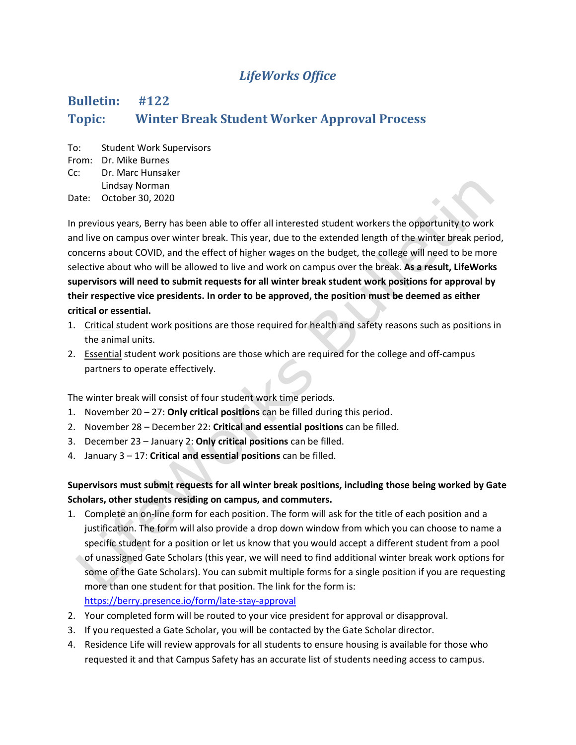## *LifeWorks Office*

## **Bulletin: #122 Topic: Winter Break Student Worker Approval Process**

To: Student Work Supervisors From: Dr. Mike Burnes Cc: Dr. Marc Hunsaker Lindsay Norman

Date: October 30, 2020

In previous years, Berry has been able to offer all interested student workers the opportunity to work and live on campus over winter break. This year, due to the extended length of the winter break period, concerns about COVID, and the effect of higher wages on the budget, the college will need to be more selective about who will be allowed to live and work on campus over the break. **As a result, LifeWorks supervisors will need to submit requests for all winter break student work positions for approval by their respective vice presidents. In order to be approved, the position must be deemed as either critical or essential.**

- 1. Critical student work positions are those required for health and safety reasons such as positions in the animal units.
- 2. Essential student work positions are those which are required for the college and off-campus partners to operate effectively.

The winter break will consist of four student work time periods.

- 1. November 20 27: **Only critical positions** can be filled during this period.
- 2. November 28 December 22: **Critical and essential positions** can be filled.
- 3. December 23 January 2: **Only critical positions** can be filled.
- 4. January 3 17: **Critical and essential positions** can be filled.

## **Supervisors must submit requests for all winter break positions, including those being worked by Gate Scholars, other students residing on campus, and commuters.**

- 1. Complete an on-line form for each position. The form will ask for the title of each position and a justification. The form will also provide a drop down window from which you can choose to name a specific student for a position or let us know that you would accept a different student from a pool of unassigned Gate Scholars (this year, we will need to find additional winter break work options for some of the Gate Scholars). You can submit multiple forms for a single position if you are requesting more than one student for that position. The link for the form is: <https://berry.presence.io/form/late-stay-approval>
- 2. Your completed form will be routed to your vice president for approval or disapproval.
- 3. If you requested a Gate Scholar, you will be contacted by the Gate Scholar director.
- 4. Residence Life will review approvals for all students to ensure housing is available for those who requested it and that Campus Safety has an accurate list of students needing access to campus.